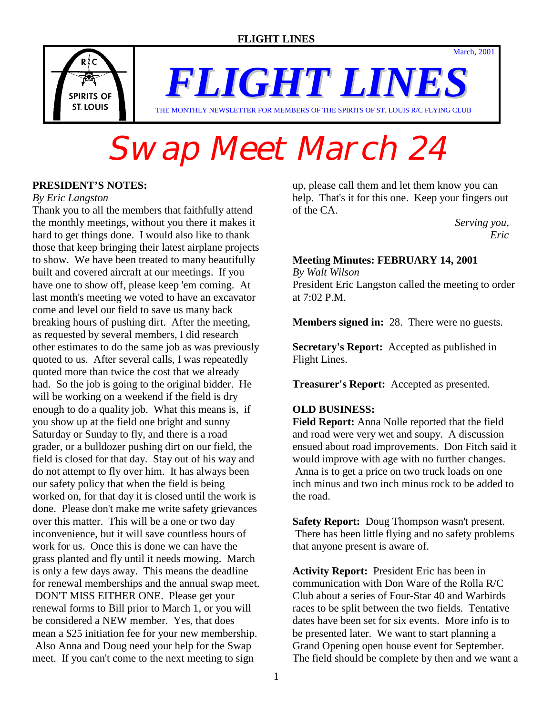

*FLIGHT LINES* THE MONTHLY NEWSLETTER FOR MEMBERS OF THE SPIRITS OF ST. LOUIS R/C FLYING CLUB

## Swap Meet March 24

#### **PRESIDENT'S NOTES:**

#### *By Eric Langston*

Thank you to all the members that faithfully attend the monthly meetings, without you there it makes it hard to get things done. I would also like to thank those that keep bringing their latest airplane projects to show. We have been treated to many beautifully built and covered aircraft at our meetings. If you have one to show off, please keep 'em coming. At last month's meeting we voted to have an excavator come and level our field to save us many back breaking hours of pushing dirt. After the meeting, as requested by several members, I did research other estimates to do the same job as was previously quoted to us. After several calls, I was repeatedly quoted more than twice the cost that we already had. So the job is going to the original bidder. He will be working on a weekend if the field is dry enough to do a quality job. What this means is, if you show up at the field one bright and sunny Saturday or Sunday to fly, and there is a road grader, or a bulldozer pushing dirt on our field, the field is closed for that day. Stay out of his way and do not attempt to fly over him. It has always been our safety policy that when the field is being worked on, for that day it is closed until the work is done. Please don't make me write safety grievances over this matter. This will be a one or two day inconvenience, but it will save countless hours of work for us. Once this is done we can have the grass planted and fly until it needs mowing. March is only a few days away. This means the deadline for renewal memberships and the annual swap meet. DON'T MISS EITHER ONE. Please get your renewal forms to Bill prior to March 1, or you will be considered a NEW member. Yes, that does mean a \$25 initiation fee for your new membership. Also Anna and Doug need your help for the Swap meet. If you can't come to the next meeting to sign

up, please call them and let them know you can help. That's it for this one. Keep your fingers out of the CA.

 *Serving you, Eric Eric* 

March, 2001

#### **Meeting Minutes: FEBRUARY 14, 2001**

*By Walt Wilson* President Eric Langston called the meeting to order at 7:02 P.M.

**Members signed in:** 28. There were no guests.

**Secretary's Report:** Accepted as published in Flight Lines.

**Treasurer's Report:** Accepted as presented.

#### **OLD BUSINESS:**

**Field Report:** Anna Nolle reported that the field and road were very wet and soupy. A discussion ensued about road improvements. Don Fitch said it would improve with age with no further changes. Anna is to get a price on two truck loads on one inch minus and two inch minus rock to be added to the road.

**Safety Report:** Doug Thompson wasn't present. There has been little flying and no safety problems that anyone present is aware of.

**Activity Report:** President Eric has been in communication with Don Ware of the Rolla R/C Club about a series of Four-Star 40 and Warbirds races to be split between the two fields. Tentative dates have been set for six events. More info is to be presented later. We want to start planning a Grand Opening open house event for September. The field should be complete by then and we want a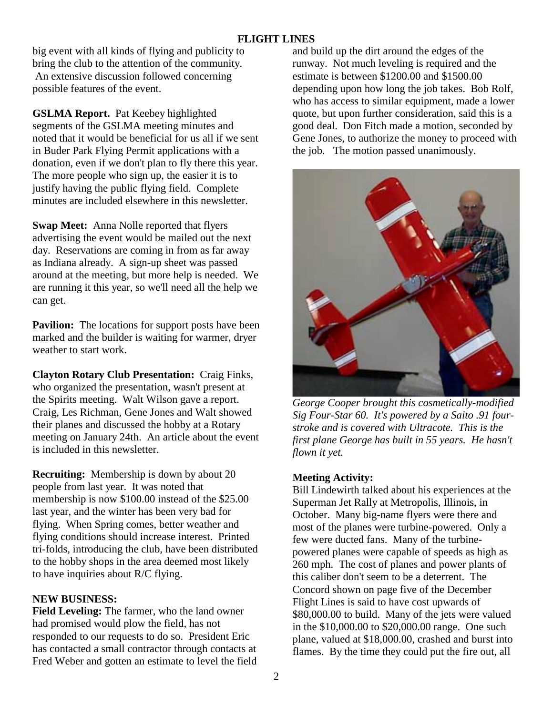big event with all kinds of flying and publicity to bring the club to the attention of the community. An extensive discussion followed concerning possible features of the event.

**GSLMA Report.** Pat Keebey highlighted segments of the GSLMA meeting minutes and noted that it would be beneficial for us all if we sent in Buder Park Flying Permit applications with a donation, even if we don't plan to fly there this year. The more people who sign up, the easier it is to justify having the public flying field. Complete minutes are included elsewhere in this newsletter.

**Swap Meet:** Anna Nolle reported that flyers advertising the event would be mailed out the next day. Reservations are coming in from as far away as Indiana already. A sign-up sheet was passed around at the meeting, but more help is needed. We are running it this year, so we'll need all the help we can get.

**Pavilion:** The locations for support posts have been marked and the builder is waiting for warmer, dryer weather to start work.

**Clayton Rotary Club Presentation:** Craig Finks, who organized the presentation, wasn't present at the Spirits meeting. Walt Wilson gave a report. Craig, Les Richman, Gene Jones and Walt showed their planes and discussed the hobby at a Rotary meeting on January 24th. An article about the event is included in this newsletter.

**Recruiting:** Membership is down by about 20 people from last year. It was noted that membership is now \$100.00 instead of the \$25.00 last year, and the winter has been very bad for flying. When Spring comes, better weather and flying conditions should increase interest. Printed tri-folds, introducing the club, have been distributed to the hobby shops in the area deemed most likely to have inquiries about R/C flying.

#### **NEW BUSINESS:**

**Field Leveling:** The farmer, who the land owner had promised would plow the field, has not responded to our requests to do so. President Eric has contacted a small contractor through contacts at Fred Weber and gotten an estimate to level the field and build up the dirt around the edges of the runway. Not much leveling is required and the estimate is between \$1200.00 and \$1500.00 depending upon how long the job takes. Bob Rolf, who has access to similar equipment, made a lower quote, but upon further consideration, said this is a good deal. Don Fitch made a motion, seconded by Gene Jones, to authorize the money to proceed with the job. The motion passed unanimously.



*George Cooper brought this cosmetically-modified Sig Four-Star 60. It's powered by a Saito .91 fourstroke and is covered with Ultracote. This is the first plane George has built in 55 years. He hasn't flown it yet.* 

#### **Meeting Activity:**

Bill Lindewirth talked about his experiences at the Superman Jet Rally at Metropolis, Illinois, in October. Many big-name flyers were there and most of the planes were turbine-powered. Only a few were ducted fans. Many of the turbinepowered planes were capable of speeds as high as 260 mph. The cost of planes and power plants of this caliber don't seem to be a deterrent. The Concord shown on page five of the December Flight Lines is said to have cost upwards of \$80,000.00 to build. Many of the jets were valued in the \$10,000.00 to \$20,000.00 range. One such plane, valued at \$18,000.00, crashed and burst into flames. By the time they could put the fire out, all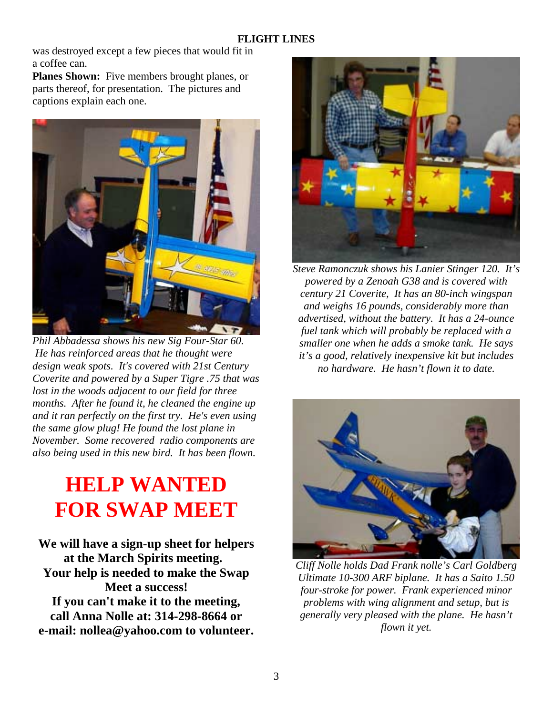was destroyed except a few pieces that would fit in a coffee can.

**Planes Shown:** Five members brought planes, or parts thereof, for presentation. The pictures and captions explain each one.



*Phil Abbadessa shows his new Sig Four-Star 60. He has reinforced areas that he thought were design weak spots. It's covered with 21st Century Coverite and powered by a Super Tigre .75 that was lost in the woods adjacent to our field for three months. After he found it, he cleaned the engine up and it ran perfectly on the first try. He's even using the same glow plug! He found the lost plane in November. Some recovered radio components are also being used in this new bird. It has been flown.* 

## **HELP WANTED FOR SWAP MEET**

**We will have a sign-up sheet for helpers at the March Spirits meeting. Your help is needed to make the Swap Meet a success! If you can't make it to the meeting, call Anna Nolle at: 314-298-8664 or e-mail: nollea@yahoo.com to volunteer.** 



*Steve Ramonczuk shows his Lanier Stinger 120. It's powered by a Zenoah G38 and is covered with century 21 Coverite, It has an 80-inch wingspan and weighs 16 pounds, considerably more than advertised, without the battery. It has a 24-ounce fuel tank which will probably be replaced with a smaller one when he adds a smoke tank. He says it's a good, relatively inexpensive kit but includes no hardware. He hasn't flown it to date.* 



*Cliff Nolle holds Dad Frank nolle's Carl Goldberg Ultimate 10-300 ARF biplane. It has a Saito 1.50 four-stroke for power. Frank experienced minor problems with wing alignment and setup, but is generally very pleased with the plane. He hasn't flown it yet.*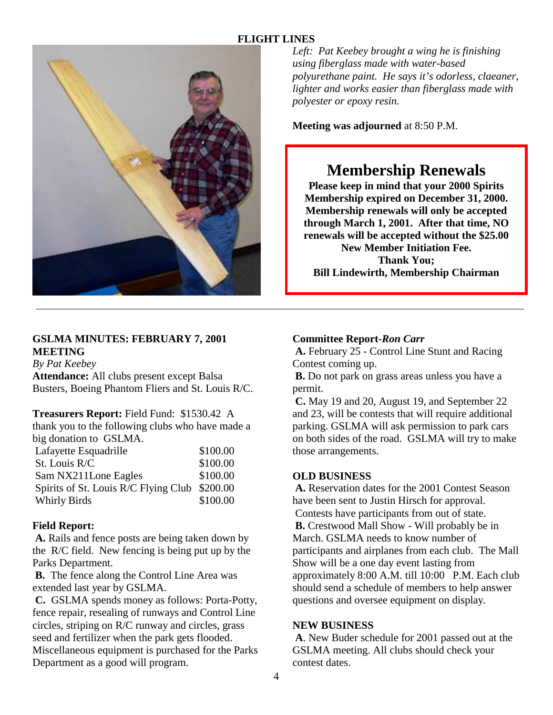

*Left: Pat Keebey brought a wing he is finishing using fiberglass made with water-based polyurethane paint. He says it's odorless, claeaner, lighter and works easier than fiberglass made with polyester or epoxy resin.* 

**Meeting was adjourned** at 8:50 P.M.

### **Membership Renewals**

**Please keep in mind that your 2000 Spirits Membership expired on December 31, 2000. Membership renewals will only be accepted through March 1, 2001. After that time, NO renewals will be accepted without the \$25.00 New Member Initiation Fee. Thank You; Bill Lindewirth, Membership Chairman** 

#### **GSLMA MINUTES: FEBRUARY 7, 2001 MEETING**

*By Pat Keebey*

**Attendance:** All clubs present except Balsa Busters, Boeing Phantom Fliers and St. Louis R/C.

#### **Treasurers Report:** Field Fund: \$1530.42 A

thank you to the following clubs who have made a big donation to GSLMA.

| Lafayette Esquadrille                         | \$100.00 |
|-----------------------------------------------|----------|
| St. Louis R/C                                 | \$100.00 |
| Sam NX211Lone Eagles                          | \$100.00 |
| Spirits of St. Louis R/C Flying Club \$200.00 |          |
| <b>Whirly Birds</b>                           | \$100.00 |

#### **Field Report:**

**A.** Rails and fence posts are being taken down by the R/C field. New fencing is being put up by the Parks Department.

 **B.** The fence along the Control Line Area was extended last year by GSLMA.

 **C.** GSLMA spends money as follows: Porta-Potty, fence repair, resealing of runways and Control Line circles, striping on R/C runway and circles, grass seed and fertilizer when the park gets flooded. Miscellaneous equipment is purchased for the Parks Department as a good will program.

#### **Committee Report-***Ron Carr*

**A.** February 25 - Control Line Stunt and Racing Contest coming up.

 **B.** Do not park on grass areas unless you have a permit.

 **C.** May 19 and 20, August 19, and September 22 and 23, will be contests that will require additional parking. GSLMA will ask permission to park cars on both sides of the road. GSLMA will try to make those arrangements.

#### **OLD BUSINESS**

 **A.** Reservation dates for the 2001 Contest Season have been sent to Justin Hirsch for approval. Contests have participants from out of state.  **B.** Crestwood Mall Show - Will probably be in March. GSLMA needs to know number of participants and airplanes from each club. The Mall Show will be a one day event lasting from approximately 8:00 A.M. till 10:00 P.M. Each club should send a schedule of members to help answer questions and oversee equipment on display.

#### **NEW BUSINESS**

 **A**. New Buder schedule for 2001 passed out at the GSLMA meeting. All clubs should check your contest dates.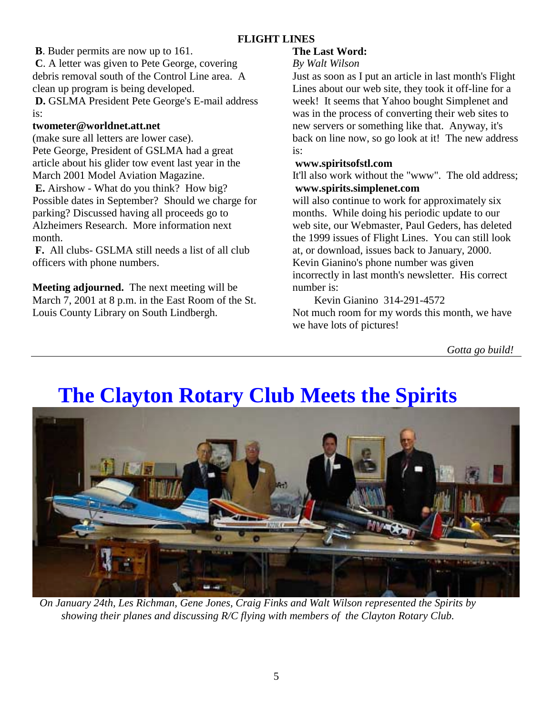**B**. Buder permits are now up to 161.

 **C**. A letter was given to Pete George, covering debris removal south of the Control Line area. A clean up program is being developed. **D.** GSLMA President Pete George's E-mail address is:

#### **twometer@worldnet.att.net**

(make sure all letters are lower case). Pete George, President of GSLMA had a great article about his glider tow event last year in the March 2001 Model Aviation Magazine.  **E.** Airshow - What do you think? How big? Possible dates in September? Should we charge for parking? Discussed having all proceeds go to Alzheimers Research. More information next month.

**F.** All clubs- GSLMA still needs a list of all club officers with phone numbers.

**Meeting adjourned.** The next meeting will be March 7, 2001 at 8 p.m. in the East Room of the St. Louis County Library on South Lindbergh.

#### **The Last Word:**

#### *By Walt Wilson*

Just as soon as I put an article in last month's Flight Lines about our web site, they took it off-line for a week! It seems that Yahoo bought Simplenet and was in the process of converting their web sites to new servers or something like that. Anyway, it's back on line now, so go look at it! The new address is:

#### **www.spiritsofstl.com**

It'll also work without the "www". The old address; **www.spirits.simplenet.com**

will also continue to work for approximately six months. While doing his periodic update to our web site, our Webmaster, Paul Geders, has deleted the 1999 issues of Flight Lines. You can still look at, or download, issues back to January, 2000. Kevin Gianino's phone number was given incorrectly in last month's newsletter. His correct number is:

 Kevin Gianino 314-291-4572 Not much room for my words this month, we have we have lots of pictures!

*Gotta go build!*

## **The Clayton Rotary Club Meets the Spirits**



*On January 24th, Les Richman, Gene Jones, Craig Finks and Walt Wilson represented the Spirits by showing their planes and discussing R/C flying with members of the Clayton Rotary Club.*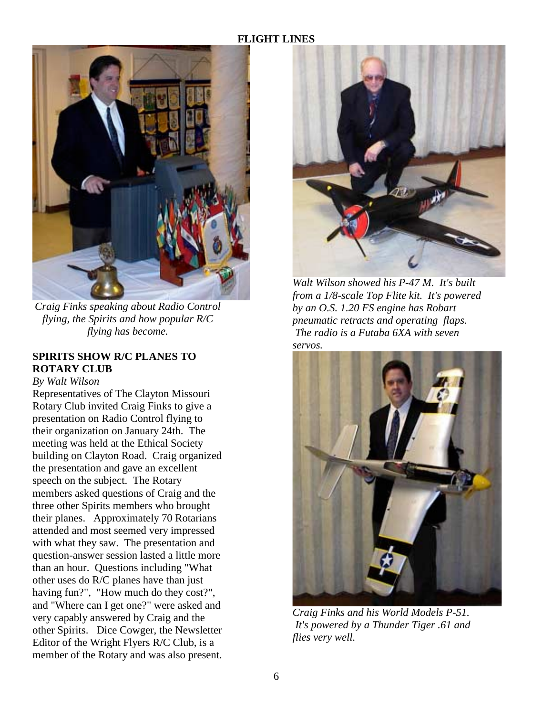

*Craig Finks speaking about Radio Control flying, the Spirits and how popular R/C flying has become.* 

#### **SPIRITS SHOW R/C PLANES TO ROTARY CLUB**

*By Walt Wilson*

Representatives of The Clayton Missouri Rotary Club invited Craig Finks to give a presentation on Radio Control flying to their organization on January 24th. The meeting was held at the Ethical Society building on Clayton Road. Craig organized the presentation and gave an excellent speech on the subject. The Rotary members asked questions of Craig and the three other Spirits members who brought their planes. Approximately 70 Rotarians attended and most seemed very impressed with what they saw. The presentation and question-answer session lasted a little more than an hour. Questions including "What other uses do R/C planes have than just having fun?", "How much do they cost?", and "Where can I get one?" were asked and very capably answered by Craig and the other Spirits. Dice Cowger, the Newsletter Editor of the Wright Flyers R/C Club, is a member of the Rotary and was also present.



*Walt Wilson showed his P-47 M. It's built from a 1/8-scale Top Flite kit. It's powered by an O.S. 1.20 FS engine has Robart pneumatic retracts and operating flaps. The radio is a Futaba 6XA with seven servos.* 



*Craig Finks and his World Models P-51. It's powered by a Thunder Tiger .61 and flies very well.*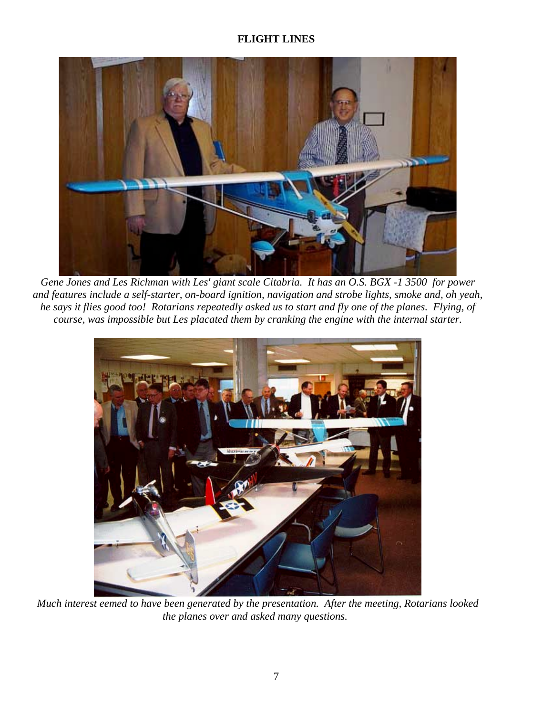

*Gene Jones and Les Richman with Les' giant scale Citabria. It has an O.S. BGX -1 3500 for power and features include a self-starter, on-board ignition, navigation and strobe lights, smoke and, oh yeah, he says it flies good too! Rotarians repeatedly asked us to start and fly one of the planes. Flying, of course, was impossible but Les placated them by cranking the engine with the internal starter.*



*Much interest eemed to have been generated by the presentation. After the meeting, Rotarians looked the planes over and asked many questions.*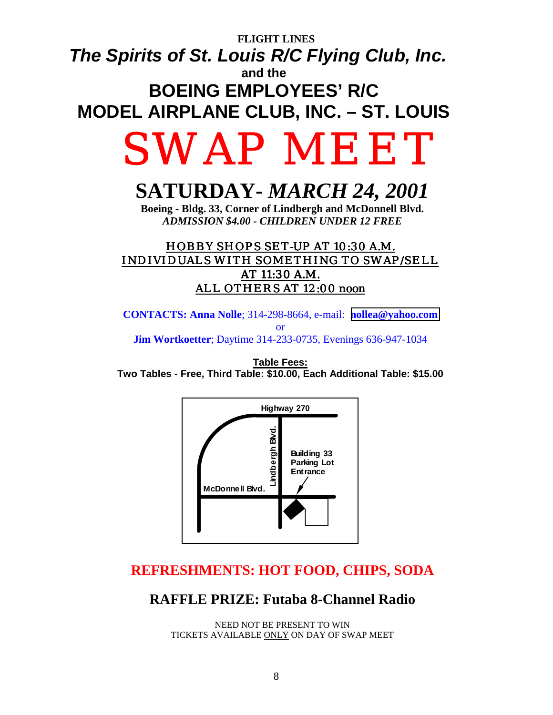### **FLIGHT LINES**  *The Spirits of St. Louis R/C Flying Club, Inc.*  **and the BOEING EMPLOYEES' R/C MODEL AIRPLANE CLUB, INC. – ST. LOUIS**

# SWAP MEET

## **SATURDAY-** *MARCH 24, 2001*

**Boeing - Bldg. 33, Corner of Lindbergh and McDonnell Blvd.**  *ADMISSION \$4.00 - CHILDREN UNDER 12 FREE*

#### HOBBY SHOPS SET-UP AT 10:30 A.M. INDIVIDUALS WITH SOMETHING TO SWAP/SELL AT 11:30 A.M. ALL OTHERS AT 12:00 noon

**CONTACTS: Anna Nolle**; 314-298-8664, e-mail: **[nollea@yahoo.com](mailto:nollea@yahoo.com)**  or **Jim Wortkoetter**; Daytime 314-233-0735, Evenings 636-947-1034

**Table Fees: Two Tables - Free, Third Table: \$10.00, Each Additional Table: \$15.00**



### **REFRESHMENTS: HOT FOOD, CHIPS, SODA**

#### **RAFFLE PRIZE: Futaba 8-Channel Radio**

NEED NOT BE PRESENT TO WIN TICKETS AVAILABLE ONLY ON DAY OF SWAP MEET